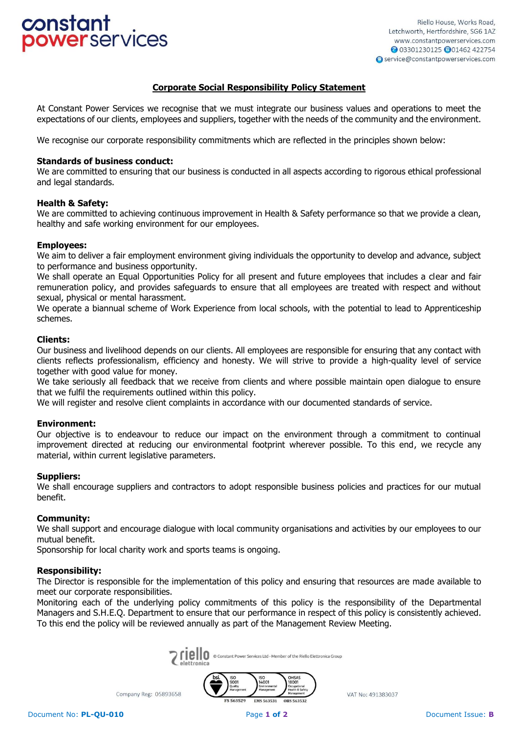# constant owerservices

# **Corporate Social Responsibility Policy Statement**

At Constant Power Services we recognise that we must integrate our business values and operations to meet the expectations of our clients, employees and suppliers, together with the needs of the community and the environment.

We recognise our corporate responsibility commitments which are reflected in the principles shown below:

#### **Standards of business conduct:**

We are committed to ensuring that our business is conducted in all aspects according to rigorous ethical professional and legal standards.

#### **Health & Safety:**

We are committed to achieving continuous improvement in Health & Safety performance so that we provide a clean, healthy and safe working environment for our employees.

## **Employees:**

We aim to deliver a fair employment environment giving individuals the opportunity to develop and advance, subject to performance and business opportunity.

We shall operate an Equal Opportunities Policy for all present and future employees that includes a clear and fair remuneration policy, and provides safeguards to ensure that all employees are treated with respect and without sexual, physical or mental harassment.

We operate a biannual scheme of Work Experience from local schools, with the potential to lead to Apprenticeship schemes.

#### **Clients:**

Our business and livelihood depends on our clients. All employees are responsible for ensuring that any contact with clients reflects professionalism, efficiency and honesty. We will strive to provide a high-quality level of service together with good value for money.

We take seriously all feedback that we receive from clients and where possible maintain open dialogue to ensure that we fulfil the requirements outlined within this policy.

We will register and resolve client complaints in accordance with our documented standards of service.

#### **Environment:**

Our objective is to endeavour to reduce our impact on the environment through a commitment to continual improvement directed at reducing our environmental footprint wherever possible. To this end, we recycle any material, within current legislative parameters.

#### **Suppliers:**

We shall encourage suppliers and contractors to adopt responsible business policies and practices for our mutual benefit.

## **Community:**

We shall support and encourage dialogue with local community organisations and activities by our employees to our mutual benefit.

Sponsorship for local charity work and sports teams is ongoing.

Company Reg: 05893658

#### **Responsibility:**

The Director is responsible for the implementation of this policy and ensuring that resources are made available to meet our corporate responsibilities.

Monitoring each of the underlying policy commitments of this policy is the responsibility of the Departmental Managers and S.H.E.Q. Department to ensure that our performance in respect of this policy is consistently achieved. To this end the policy will be reviewed annually as part of the Management Review Meeting.



**ES 563529** EMS 563531

VAT No: 491383037